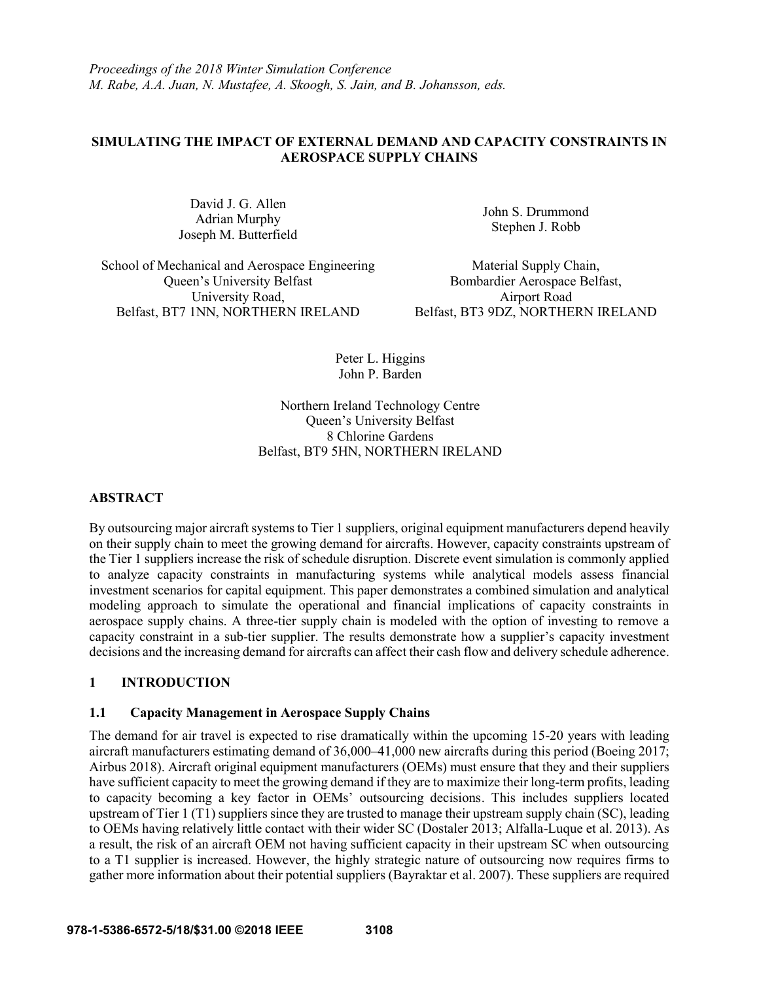*Proceedings of the 2018 Winter Simulation Conference M. Rabe, A.A. Juan, N. Mustafee, A. Skoogh, S. Jain, and B. Johansson, eds.*

# **SIMULATING THE IMPACT OF EXTERNAL DEMAND AND CAPACITY CONSTRAINTS IN AEROSPACE SUPPLY CHAINS**

David J. G. Allen Adrian Murphy Joseph M. Butterfield

John S. Drummond Stephen J. Robb

School of Mechanical and Aerospace Engineering Material Supply Chain, Queen's University Belfast Bombardier Aerospace Belfast, University Road, **Airport Road** Belfast, BT7 1NN, NORTHERN IRELAND Belfast, BT3 9DZ, NORTHERN IRELAND

Peter L. Higgins John P. Barden

Northern Ireland Technology Centre Queen's University Belfast 8 Chlorine Gardens Belfast, BT9 5HN, NORTHERN IRELAND

### **ABSTRACT**

By outsourcing major aircraft systems to Tier 1 suppliers, original equipment manufacturers depend heavily on their supply chain to meet the growing demand for aircrafts. However, capacity constraints upstream of the Tier 1 suppliers increase the risk of schedule disruption. Discrete event simulation is commonly applied to analyze capacity constraints in manufacturing systems while analytical models assess financial investment scenarios for capital equipment. This paper demonstrates a combined simulation and analytical modeling approach to simulate the operational and financial implications of capacity constraints in aerospace supply chains. A three-tier supply chain is modeled with the option of investing to remove a capacity constraint in a sub-tier supplier. The results demonstrate how a supplier's capacity investment decisions and the increasing demand for aircrafts can affect their cash flow and delivery schedule adherence.

# **1 INTRODUCTION**

### **1.1 Capacity Management in Aerospace Supply Chains**

The demand for air travel is expected to rise dramatically within the upcoming 15-20 years with leading aircraft manufacturers estimating demand of 36,000–41,000 new aircrafts during this period (Boeing 2017; Airbus 2018). Aircraft original equipment manufacturers (OEMs) must ensure that they and their suppliers have sufficient capacity to meet the growing demand if they are to maximize their long-term profits, leading to capacity becoming a key factor in OEMs' outsourcing decisions. This includes suppliers located upstream of Tier 1 (T1) suppliers since they are trusted to manage their upstream supply chain (SC), leading to OEMs having relatively little contact with their wider SC (Dostaler 2013; Alfalla-Luque et al. 2013). As a result, the risk of an aircraft OEM not having sufficient capacity in their upstream SC when outsourcing to a T1 supplier is increased. However, the highly strategic nature of outsourcing now requires firms to gather more information about their potential suppliers (Bayraktar et al. 2007). These suppliers are required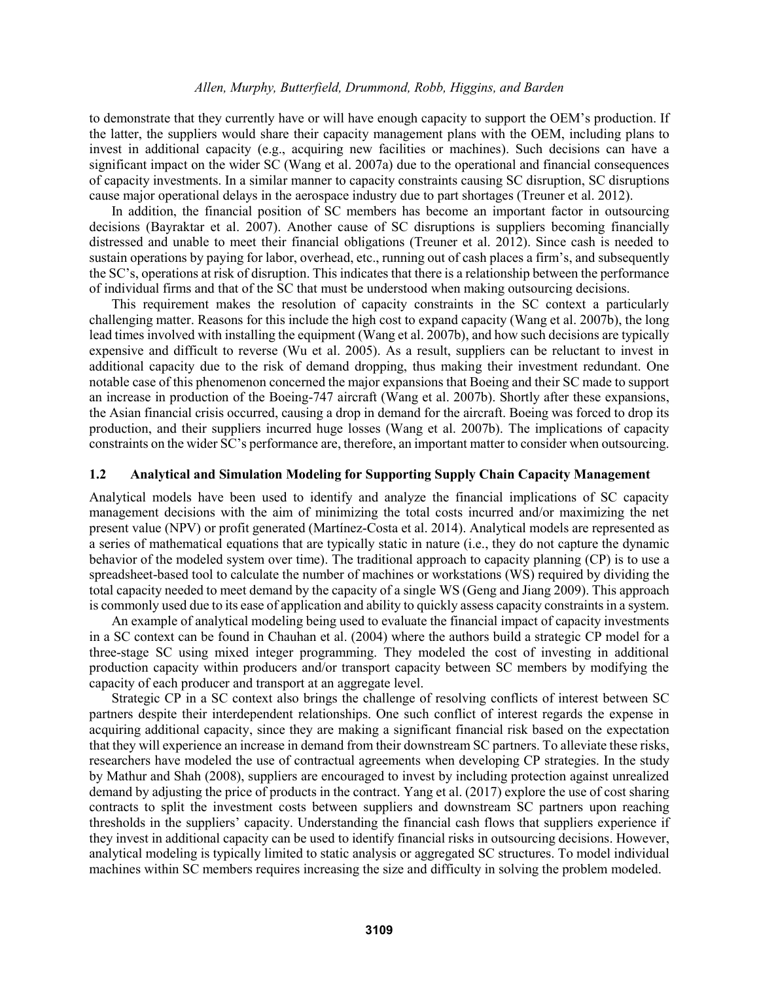to demonstrate that they currently have or will have enough capacity to support the OEM's production. If the latter, the suppliers would share their capacity management plans with the OEM, including plans to invest in additional capacity (e.g., acquiring new facilities or machines). Such decisions can have a significant impact on the wider SC (Wang et al. 2007a) due to the operational and financial consequences of capacity investments. In a similar manner to capacity constraints causing SC disruption, SC disruptions cause major operational delays in the aerospace industry due to part shortages (Treuner et al. 2012).

In addition, the financial position of SC members has become an important factor in outsourcing decisions (Bayraktar et al. 2007). Another cause of SC disruptions is suppliers becoming financially distressed and unable to meet their financial obligations (Treuner et al. 2012). Since cash is needed to sustain operations by paying for labor, overhead, etc., running out of cash places a firm's, and subsequently the SC's, operations at risk of disruption. This indicates that there is a relationship between the performance of individual firms and that of the SC that must be understood when making outsourcing decisions.

This requirement makes the resolution of capacity constraints in the SC context a particularly challenging matter. Reasons for this include the high cost to expand capacity (Wang et al. 2007b), the long lead times involved with installing the equipment (Wang et al. 2007b), and how such decisions are typically expensive and difficult to reverse (Wu et al. 2005). As a result, suppliers can be reluctant to invest in additional capacity due to the risk of demand dropping, thus making their investment redundant. One notable case of this phenomenon concerned the major expansions that Boeing and their SC made to support an increase in production of the Boeing-747 aircraft (Wang et al. 2007b). Shortly after these expansions, the Asian financial crisis occurred, causing a drop in demand for the aircraft. Boeing was forced to drop its production, and their suppliers incurred huge losses (Wang et al. 2007b). The implications of capacity constraints on the wider SC's performance are, therefore, an important matter to consider when outsourcing.

#### **1.2 Analytical and Simulation Modeling for Supporting Supply Chain Capacity Management**

Analytical models have been used to identify and analyze the financial implications of SC capacity management decisions with the aim of minimizing the total costs incurred and/or maximizing the net present value (NPV) or profit generated (Martínez-Costa et al. 2014). Analytical models are represented as a series of mathematical equations that are typically static in nature (i.e., they do not capture the dynamic behavior of the modeled system over time). The traditional approach to capacity planning (CP) is to use a spreadsheet-based tool to calculate the number of machines or workstations (WS) required by dividing the total capacity needed to meet demand by the capacity of a single WS (Geng and Jiang 2009). This approach is commonly used due to its ease of application and ability to quickly assess capacity constraints in a system.

An example of analytical modeling being used to evaluate the financial impact of capacity investments in a SC context can be found in Chauhan et al. (2004) where the authors build a strategic CP model for a three-stage SC using mixed integer programming. They modeled the cost of investing in additional production capacity within producers and/or transport capacity between SC members by modifying the capacity of each producer and transport at an aggregate level.

Strategic CP in a SC context also brings the challenge of resolving conflicts of interest between SC partners despite their interdependent relationships. One such conflict of interest regards the expense in acquiring additional capacity, since they are making a significant financial risk based on the expectation that they will experience an increase in demand from their downstream SC partners. To alleviate these risks, researchers have modeled the use of contractual agreements when developing CP strategies. In the study by Mathur and Shah (2008), suppliers are encouraged to invest by including protection against unrealized demand by adjusting the price of products in the contract. Yang et al. (2017) explore the use of cost sharing contracts to split the investment costs between suppliers and downstream SC partners upon reaching thresholds in the suppliers' capacity. Understanding the financial cash flows that suppliers experience if they invest in additional capacity can be used to identify financial risks in outsourcing decisions. However, analytical modeling is typically limited to static analysis or aggregated SC structures. To model individual machines within SC members requires increasing the size and difficulty in solving the problem modeled.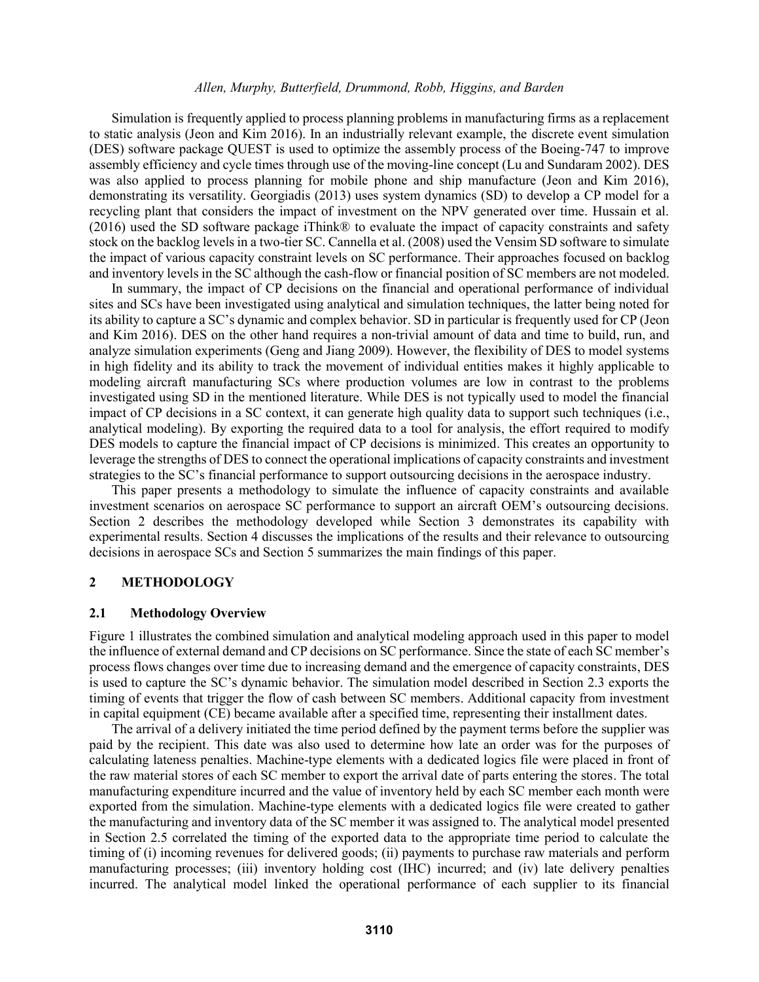Simulation is frequently applied to process planning problems in manufacturing firms as a replacement to static analysis (Jeon and Kim 2016). In an industrially relevant example, the discrete event simulation (DES) software package QUEST is used to optimize the assembly process of the Boeing-747 to improve assembly efficiency and cycle times through use of the moving-line concept (Lu and Sundaram 2002). DES was also applied to process planning for mobile phone and ship manufacture (Jeon and Kim 2016), demonstrating its versatility. Georgiadis (2013) uses system dynamics (SD) to develop a CP model for a recycling plant that considers the impact of investment on the NPV generated over time. Hussain et al. (2016) used the SD software package iThink® to evaluate the impact of capacity constraints and safety stock on the backlog levels in a two-tier SC. Cannella et al. (2008) used the Vensim SD software to simulate the impact of various capacity constraint levels on SC performance. Their approaches focused on backlog and inventory levels in the SC although the cash-flow or financial position of SC members are not modeled.

In summary, the impact of CP decisions on the financial and operational performance of individual sites and SCs have been investigated using analytical and simulation techniques, the latter being noted for its ability to capture a SC's dynamic and complex behavior. SD in particular is frequently used for CP (Jeon and Kim 2016). DES on the other hand requires a non-trivial amount of data and time to build, run, and analyze simulation experiments (Geng and Jiang 2009). However, the flexibility of DES to model systems in high fidelity and its ability to track the movement of individual entities makes it highly applicable to modeling aircraft manufacturing SCs where production volumes are low in contrast to the problems investigated using SD in the mentioned literature. While DES is not typically used to model the financial impact of CP decisions in a SC context, it can generate high quality data to support such techniques (i.e., analytical modeling). By exporting the required data to a tool for analysis, the effort required to modify DES models to capture the financial impact of CP decisions is minimized. This creates an opportunity to leverage the strengths of DES to connect the operational implications of capacity constraints and investment strategies to the SC's financial performance to support outsourcing decisions in the aerospace industry.

This paper presents a methodology to simulate the influence of capacity constraints and available investment scenarios on aerospace SC performance to support an aircraft OEM's outsourcing decisions. Section 2 describes the methodology developed while Section 3 demonstrates its capability with experimental results. Section 4 discusses the implications of the results and their relevance to outsourcing decisions in aerospace SCs and Section 5 summarizes the main findings of this paper.

# **2 METHODOLOGY**

### **2.1 Methodology Overview**

Figure 1 illustrates the combined simulation and analytical modeling approach used in this paper to model the influence of external demand and CP decisions on SC performance. Since the state of each SC member's process flows changes over time due to increasing demand and the emergence of capacity constraints, DES is used to capture the SC's dynamic behavior. The simulation model described in Section 2.3 exports the timing of events that trigger the flow of cash between SC members. Additional capacity from investment in capital equipment (CE) became available after a specified time, representing their installment dates.

The arrival of a delivery initiated the time period defined by the payment terms before the supplier was paid by the recipient. This date was also used to determine how late an order was for the purposes of calculating lateness penalties. Machine-type elements with a dedicated logics file were placed in front of the raw material stores of each SC member to export the arrival date of parts entering the stores. The total manufacturing expenditure incurred and the value of inventory held by each SC member each month were exported from the simulation. Machine-type elements with a dedicated logics file were created to gather the manufacturing and inventory data of the SC member it was assigned to. The analytical model presented in Section 2.5 correlated the timing of the exported data to the appropriate time period to calculate the timing of (i) incoming revenues for delivered goods; (ii) payments to purchase raw materials and perform manufacturing processes; (iii) inventory holding cost (IHC) incurred; and (iv) late delivery penalties incurred. The analytical model linked the operational performance of each supplier to its financial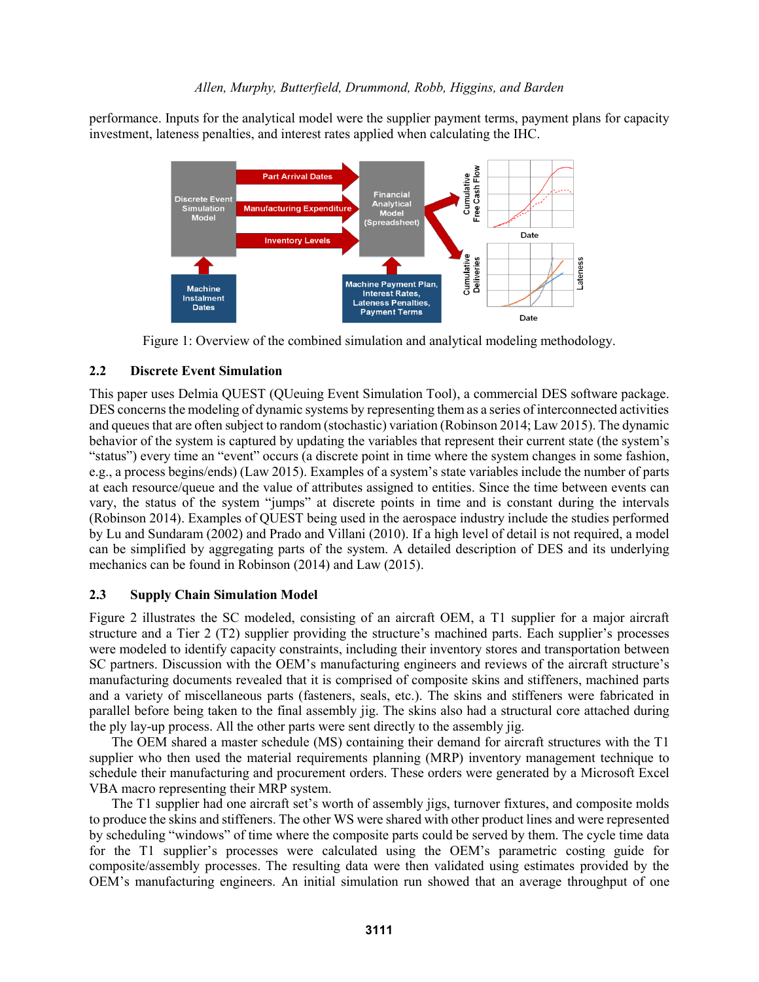performance. Inputs for the analytical model were the supplier payment terms, payment plans for capacity investment, lateness penalties, and interest rates applied when calculating the IHC.



Figure 1: Overview of the combined simulation and analytical modeling methodology.

# **2.2 Discrete Event Simulation**

This paper uses Delmia QUEST (QUeuing Event Simulation Tool), a commercial DES software package. DES concerns the modeling of dynamic systems by representing them as a series of interconnected activities and queues that are often subject to random (stochastic) variation (Robinson 2014; Law 2015). The dynamic behavior of the system is captured by updating the variables that represent their current state (the system's "status") every time an "event" occurs (a discrete point in time where the system changes in some fashion, e.g., a process begins/ends) (Law 2015). Examples of a system's state variables include the number of parts at each resource/queue and the value of attributes assigned to entities. Since the time between events can vary, the status of the system "jumps" at discrete points in time and is constant during the intervals (Robinson 2014). Examples of QUEST being used in the aerospace industry include the studies performed by Lu and Sundaram (2002) and Prado and Villani (2010). If a high level of detail is not required, a model can be simplified by aggregating parts of the system. A detailed description of DES and its underlying mechanics can be found in Robinson (2014) and Law (2015).

# **2.3 Supply Chain Simulation Model**

Figure 2 illustrates the SC modeled, consisting of an aircraft OEM, a T1 supplier for a major aircraft structure and a Tier 2 (T2) supplier providing the structure's machined parts. Each supplier's processes were modeled to identify capacity constraints, including their inventory stores and transportation between SC partners. Discussion with the OEM's manufacturing engineers and reviews of the aircraft structure's manufacturing documents revealed that it is comprised of composite skins and stiffeners, machined parts and a variety of miscellaneous parts (fasteners, seals, etc.). The skins and stiffeners were fabricated in parallel before being taken to the final assembly jig. The skins also had a structural core attached during the ply lay-up process. All the other parts were sent directly to the assembly jig.

The OEM shared a master schedule (MS) containing their demand for aircraft structures with the T1 supplier who then used the material requirements planning (MRP) inventory management technique to schedule their manufacturing and procurement orders. These orders were generated by a Microsoft Excel VBA macro representing their MRP system.

The T1 supplier had one aircraft set's worth of assembly jigs, turnover fixtures, and composite molds to produce the skins and stiffeners. The other WS were shared with other product lines and were represented by scheduling "windows" of time where the composite parts could be served by them. The cycle time data for the T1 supplier's processes were calculated using the OEM's parametric costing guide for composite/assembly processes. The resulting data were then validated using estimates provided by the OEM's manufacturing engineers. An initial simulation run showed that an average throughput of one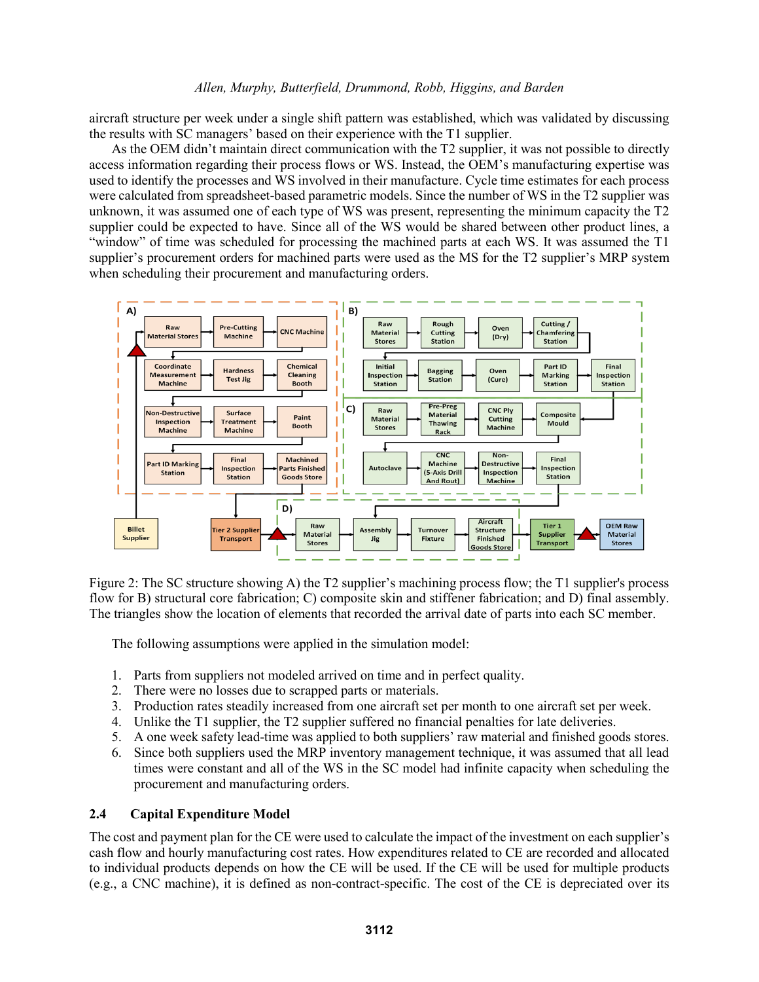aircraft structure per week under a single shift pattern was established, which was validated by discussing the results with SC managers' based on their experience with the T1 supplier.

As the OEM didn't maintain direct communication with the T2 supplier, it was not possible to directly access information regarding their process flows or WS. Instead, the OEM's manufacturing expertise was used to identify the processes and WS involved in their manufacture. Cycle time estimates for each process were calculated from spreadsheet-based parametric models. Since the number of WS in the T2 supplier was unknown, it was assumed one of each type of WS was present, representing the minimum capacity the T2 supplier could be expected to have. Since all of the WS would be shared between other product lines, a "window" of time was scheduled for processing the machined parts at each WS. It was assumed the T1 supplier's procurement orders for machined parts were used as the MS for the T2 supplier's MRP system when scheduling their procurement and manufacturing orders.



Figure 2: The SC structure showing A) the T2 supplier's machining process flow; the T1 supplier's process flow for B) structural core fabrication; C) composite skin and stiffener fabrication; and D) final assembly. The triangles show the location of elements that recorded the arrival date of parts into each SC member.

The following assumptions were applied in the simulation model:

- 1. Parts from suppliers not modeled arrived on time and in perfect quality.
- 2. There were no losses due to scrapped parts or materials.
- 3. Production rates steadily increased from one aircraft set per month to one aircraft set per week.
- 4. Unlike the T1 supplier, the T2 supplier suffered no financial penalties for late deliveries.
- 5. A one week safety lead-time was applied to both suppliers' raw material and finished goods stores.
- 6. Since both suppliers used the MRP inventory management technique, it was assumed that all lead times were constant and all of the WS in the SC model had infinite capacity when scheduling the procurement and manufacturing orders.

# **2.4 Capital Expenditure Model**

The cost and payment plan for the CE were used to calculate the impact of the investment on each supplier's cash flow and hourly manufacturing cost rates. How expenditures related to CE are recorded and allocated to individual products depends on how the CE will be used. If the CE will be used for multiple products (e.g., a CNC machine), it is defined as non-contract-specific. The cost of the CE is depreciated over its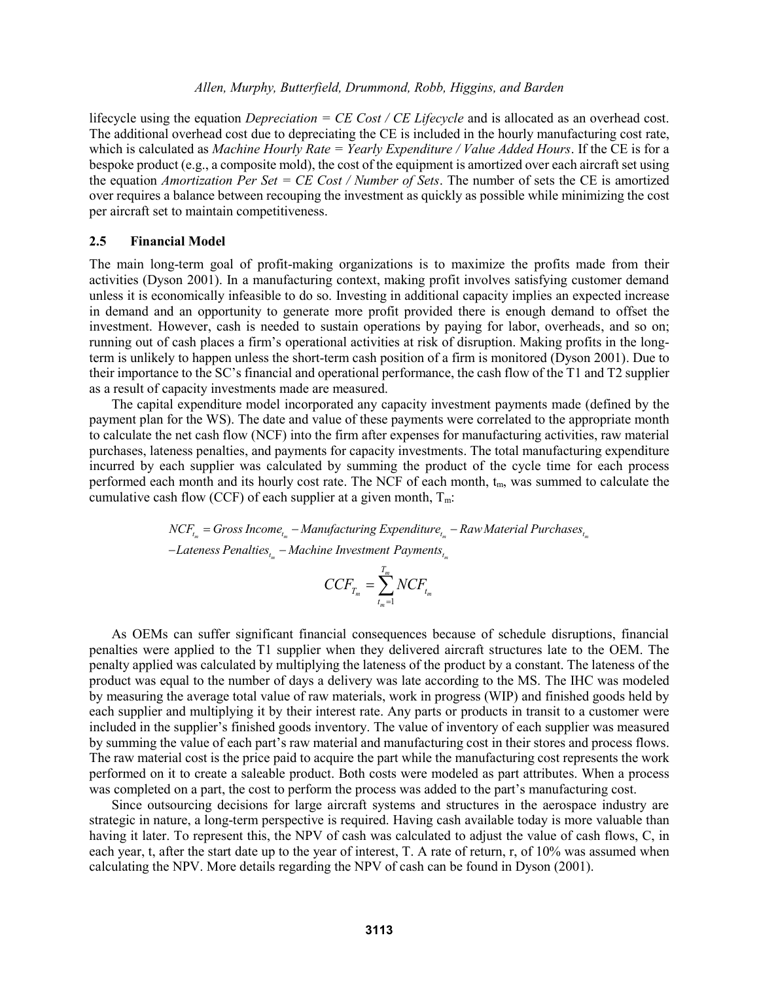lifecycle using the equation *Depreciation = CE Cost / CE Lifecycle* and is allocated as an overhead cost. The additional overhead cost due to depreciating the CE is included in the hourly manufacturing cost rate, which is calculated as *Machine Hourly Rate = Yearly Expenditure / Value Added Hours*. If the CE is for a bespoke product (e.g., a composite mold), the cost of the equipment is amortized over each aircraft set using the equation *Amortization Per Set = CE Cost / Number of Sets*. The number of sets the CE is amortized over requires a balance between recouping the investment as quickly as possible while minimizing the cost per aircraft set to maintain competitiveness.

#### **2.5 Financial Model**

The main long-term goal of profit-making organizations is to maximize the profits made from their activities (Dyson 2001). In a manufacturing context, making profit involves satisfying customer demand unless it is economically infeasible to do so. Investing in additional capacity implies an expected increase in demand and an opportunity to generate more profit provided there is enough demand to offset the investment. However, cash is needed to sustain operations by paying for labor, overheads, and so on; running out of cash places a firm's operational activities at risk of disruption. Making profits in the longterm is unlikely to happen unless the short-term cash position of a firm is monitored (Dyson 2001). Due to their importance to the SC's financial and operational performance, the cash flow of the T1 and T2 supplier as a result of capacity investments made are measured.

The capital expenditure model incorporated any capacity investment payments made (defined by the payment plan for the WS). The date and value of these payments were correlated to the appropriate month to calculate the net cash flow (NCF) into the firm after expenses for manufacturing activities, raw material purchases, lateness penalties, and payments for capacity investments. The total manufacturing expenditure incurred by each supplier was calculated by summing the product of the cycle time for each process performed each month and its hourly cost rate. The NCF of each month,  $t<sub>m</sub>$ , was summed to calculate the cumulative cash flow (CCF) of each supplier at a given month,  $T_m$ . *h* month and its hourly cost rate. The NCF of each month,  $t_m$ , was summed the flow (CCF) of each supplier at a given month,  $T_m$ :<br>  $NCF_{t_m} = Gross Income_{t_m} - Manuel$  *Manufacturing Expenditure*<sub> $t_m$ </sub> – *Raw Material Purchases*<sub> $t_m$ </sub> th and its hourly cost rate. The NCF of each month,  $t_m$ , with  $U(CCF)$  of each supplier at a given month,  $T_m$ :<br>= *Gross Income<sub>t<sub>in</sub></sub>* – *Manufacturing Expenditure<sub>t<sub>in</sub></sub>* – *Raw Materic* 

me<sub>t,,</sub> – Manufacturing Expenditure<sub>t,,</sub><br><sub>t,,</sub> – Machine Investment Payments<sub>t,,,</sub> *Lateness Penalties Lateness Penalties Lateness Penalties Lateness Penalties Lateness Penalties Lateness Penalties Lateness Penalties Lateness Penalties Lateness Penalties Lateness Penalties Lateness P* sh flow (CCF) of each supplier at<br>  $NCF_{t_m} = Gross \: Income_{t_m} - Manuel$ <br>  $-Lateness \:ੈ$   $Penalties_{t_m} - Machine \: Inv$ 

$$
CCF_{T_m} = \sum_{t_m=1}^{T_m} NCF_{t_m}
$$

As OEMs can suffer significant financial consequences because of schedule disruptions, financial penalties were applied to the T1 supplier when they delivered aircraft structures late to the OEM. The penalty applied was calculated by multiplying the lateness of the product by a constant. The lateness of the product was equal to the number of days a delivery was late according to the MS. The IHC was modeled by measuring the average total value of raw materials, work in progress (WIP) and finished goods held by each supplier and multiplying it by their interest rate. Any parts or products in transit to a customer were included in the supplier's finished goods inventory. The value of inventory of each supplier was measured by summing the value of each part's raw material and manufacturing cost in their stores and process flows. The raw material cost is the price paid to acquire the part while the manufacturing cost represents the work performed on it to create a saleable product. Both costs were modeled as part attributes. When a process was completed on a part, the cost to perform the process was added to the part's manufacturing cost.

Since outsourcing decisions for large aircraft systems and structures in the aerospace industry are strategic in nature, a long-term perspective is required. Having cash available today is more valuable than having it later. To represent this, the NPV of cash was calculated to adjust the value of cash flows, C, in each year, t, after the start date up to the year of interest, T. A rate of return, r, of 10% was assumed when calculating the NPV. More details regarding the NPV of cash can be found in Dyson (2001).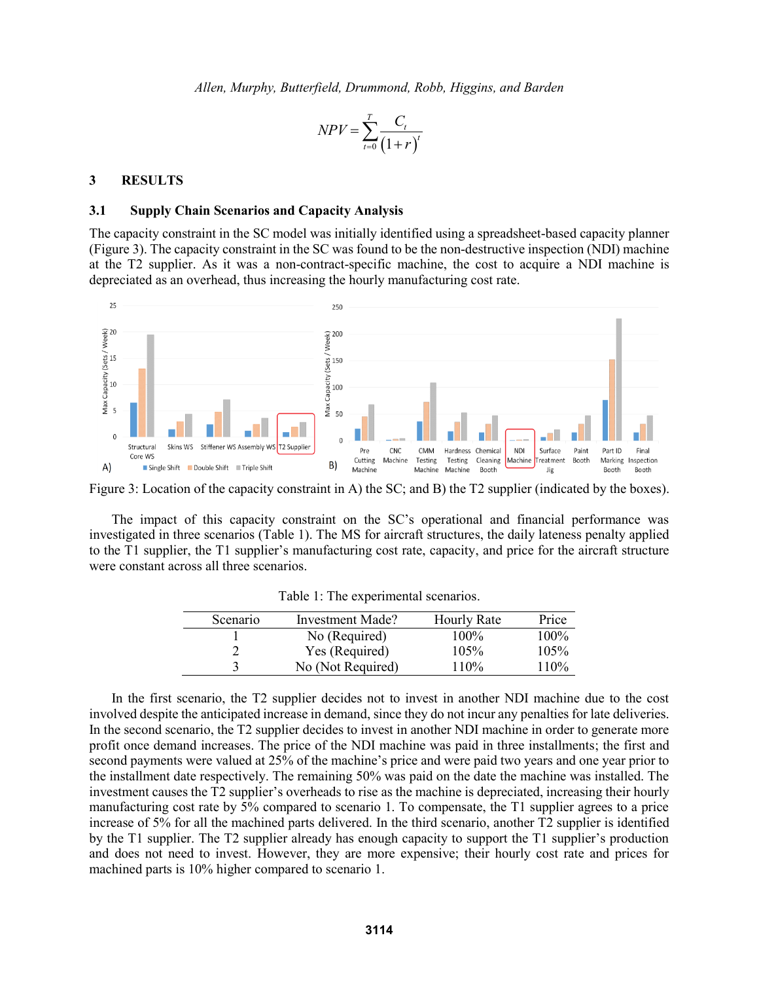$$
NPV = \sum_{t=0}^{T} \frac{C_t}{(1+r)^t}
$$

#### **3 RESULTS**

#### **3.1 Supply Chain Scenarios and Capacity Analysis**

The capacity constraint in the SC model was initially identified using a spreadsheet-based capacity planner (Figure 3). The capacity constraint in the SC was found to be the non-destructive inspection (NDI) machine at the T2 supplier. As it was a non-contract-specific machine, the cost to acquire a NDI machine is depreciated as an overhead, thus increasing the hourly manufacturing cost rate.



Figure 3: Location of the capacity constraint in A) the SC; and B) the T2 supplier (indicated by the boxes).

The impact of this capacity constraint on the SC's operational and financial performance was investigated in three scenarios (Table 1). The MS for aircraft structures, the daily lateness penalty applied to the T1 supplier, the T1 supplier's manufacturing cost rate, capacity, and price for the aircraft structure were constant across all three scenarios.

| Scenario | Investment Made?  | <b>Hourly Rate</b> | Price   |
|----------|-------------------|--------------------|---------|
|          | No (Required)     | 100%               | $100\%$ |
|          | Yes (Required)    | 105%               | 105%    |
|          | No (Not Required) | 110%               | 110%    |

Table 1: The experimental scenarios.

In the first scenario, the T2 supplier decides not to invest in another NDI machine due to the cost involved despite the anticipated increase in demand, since they do not incur any penalties for late deliveries. In the second scenario, the T2 supplier decides to invest in another NDI machine in order to generate more profit once demand increases. The price of the NDI machine was paid in three installments; the first and second payments were valued at 25% of the machine's price and were paid two years and one year prior to the installment date respectively. The remaining 50% was paid on the date the machine was installed. The investment causes the T2 supplier's overheads to rise as the machine is depreciated, increasing their hourly manufacturing cost rate by 5% compared to scenario 1. To compensate, the T1 supplier agrees to a price increase of 5% for all the machined parts delivered. In the third scenario, another T2 supplier is identified by the T1 supplier. The T2 supplier already has enough capacity to support the T1 supplier's production and does not need to invest. However, they are more expensive; their hourly cost rate and prices for machined parts is 10% higher compared to scenario 1.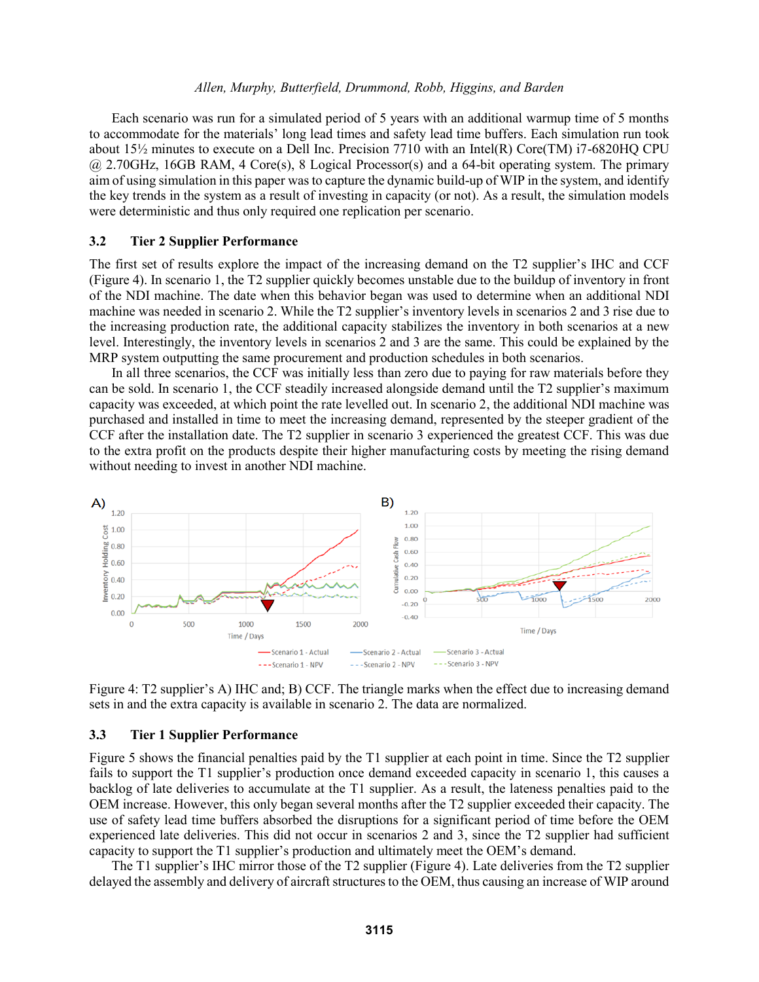Each scenario was run for a simulated period of 5 years with an additional warmup time of 5 months to accommodate for the materials' long lead times and safety lead time buffers. Each simulation run took about  $15\frac{1}{2}$  minutes to execute on a Dell Inc. Precision 7710 with an Intel(R) Core(TM) i7-6820HQ CPU @ 2.70GHz, 16GB RAM, 4 Core(s), 8 Logical Processor(s) and a 64-bit operating system. The primary aim of using simulation in this paper was to capture the dynamic build-up of WIP in the system, and identify the key trends in the system as a result of investing in capacity (or not). As a result, the simulation models were deterministic and thus only required one replication per scenario.

#### **3.2 Tier 2 Supplier Performance**

The first set of results explore the impact of the increasing demand on the T2 supplier's IHC and CCF (Figure 4). In scenario 1, the T2 supplier quickly becomes unstable due to the buildup of inventory in front of the NDI machine. The date when this behavior began was used to determine when an additional NDI machine was needed in scenario 2. While the T2 supplier's inventory levels in scenarios 2 and 3 rise due to the increasing production rate, the additional capacity stabilizes the inventory in both scenarios at a new level. Interestingly, the inventory levels in scenarios 2 and 3 are the same. This could be explained by the MRP system outputting the same procurement and production schedules in both scenarios.

In all three scenarios, the CCF was initially less than zero due to paying for raw materials before they can be sold. In scenario 1, the CCF steadily increased alongside demand until the T2 supplier's maximum capacity was exceeded, at which point the rate levelled out. In scenario 2, the additional NDI machine was purchased and installed in time to meet the increasing demand, represented by the steeper gradient of the CCF after the installation date. The T2 supplier in scenario 3 experienced the greatest CCF. This was due to the extra profit on the products despite their higher manufacturing costs by meeting the rising demand without needing to invest in another NDI machine.



Figure 4: T2 supplier's A) IHC and; B) CCF. The triangle marks when the effect due to increasing demand sets in and the extra capacity is available in scenario 2. The data are normalized.

#### **3.3 Tier 1 Supplier Performance**

Figure 5 shows the financial penalties paid by the T1 supplier at each point in time. Since the T2 supplier fails to support the T1 supplier's production once demand exceeded capacity in scenario 1, this causes a backlog of late deliveries to accumulate at the T1 supplier. As a result, the lateness penalties paid to the OEM increase. However, this only began several months after the T2 supplier exceeded their capacity. The use of safety lead time buffers absorbed the disruptions for a significant period of time before the OEM experienced late deliveries. This did not occur in scenarios 2 and 3, since the T2 supplier had sufficient capacity to support the T1 supplier's production and ultimately meet the OEM's demand.

The T1 supplier's IHC mirror those of the T2 supplier (Figure 4). Late deliveries from the T2 supplier delayed the assembly and delivery of aircraft structures to the OEM, thus causing an increase of WIP around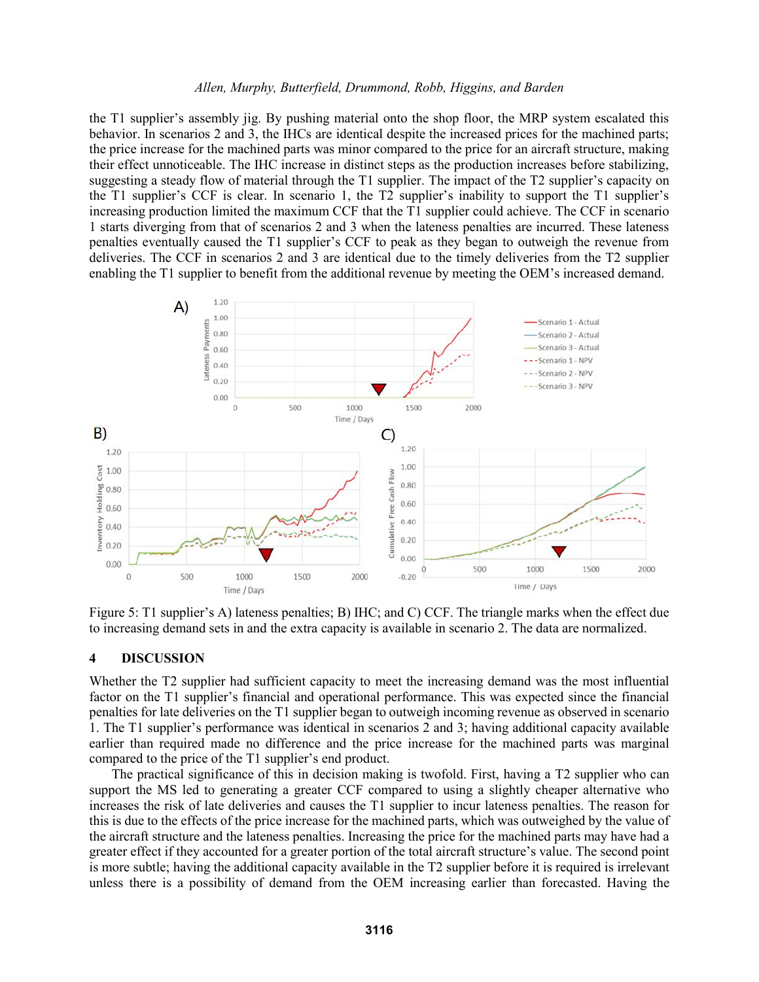the T1 supplier's assembly jig. By pushing material onto the shop floor, the MRP system escalated this behavior. In scenarios 2 and 3, the IHCs are identical despite the increased prices for the machined parts; the price increase for the machined parts was minor compared to the price for an aircraft structure, making their effect unnoticeable. The IHC increase in distinct steps as the production increases before stabilizing, suggesting a steady flow of material through the T1 supplier. The impact of the T2 supplier's capacity on the T1 supplier's CCF is clear. In scenario 1, the T2 supplier's inability to support the T1 supplier's increasing production limited the maximum CCF that the T1 supplier could achieve. The CCF in scenario 1 starts diverging from that of scenarios 2 and 3 when the lateness penalties are incurred. These lateness penalties eventually caused the T1 supplier's CCF to peak as they began to outweigh the revenue from deliveries. The CCF in scenarios 2 and 3 are identical due to the timely deliveries from the T2 supplier enabling the T1 supplier to benefit from the additional revenue by meeting the OEM's increased demand.



Figure 5: T1 supplier's A) lateness penalties; B) IHC; and C) CCF. The triangle marks when the effect due to increasing demand sets in and the extra capacity is available in scenario 2. The data are normalized.

#### **4 DISCUSSION**

Whether the T2 supplier had sufficient capacity to meet the increasing demand was the most influential factor on the T1 supplier's financial and operational performance. This was expected since the financial penalties for late deliveries on the T1 supplier began to outweigh incoming revenue as observed in scenario 1. The T1 supplier's performance was identical in scenarios 2 and 3; having additional capacity available earlier than required made no difference and the price increase for the machined parts was marginal compared to the price of the T1 supplier's end product.

The practical significance of this in decision making is twofold. First, having a T2 supplier who can support the MS led to generating a greater CCF compared to using a slightly cheaper alternative who increases the risk of late deliveries and causes the T1 supplier to incur lateness penalties. The reason for this is due to the effects of the price increase for the machined parts, which was outweighed by the value of the aircraft structure and the lateness penalties. Increasing the price for the machined parts may have had a greater effect if they accounted for a greater portion of the total aircraft structure's value. The second point is more subtle; having the additional capacity available in the T2 supplier before it is required is irrelevant unless there is a possibility of demand from the OEM increasing earlier than forecasted. Having the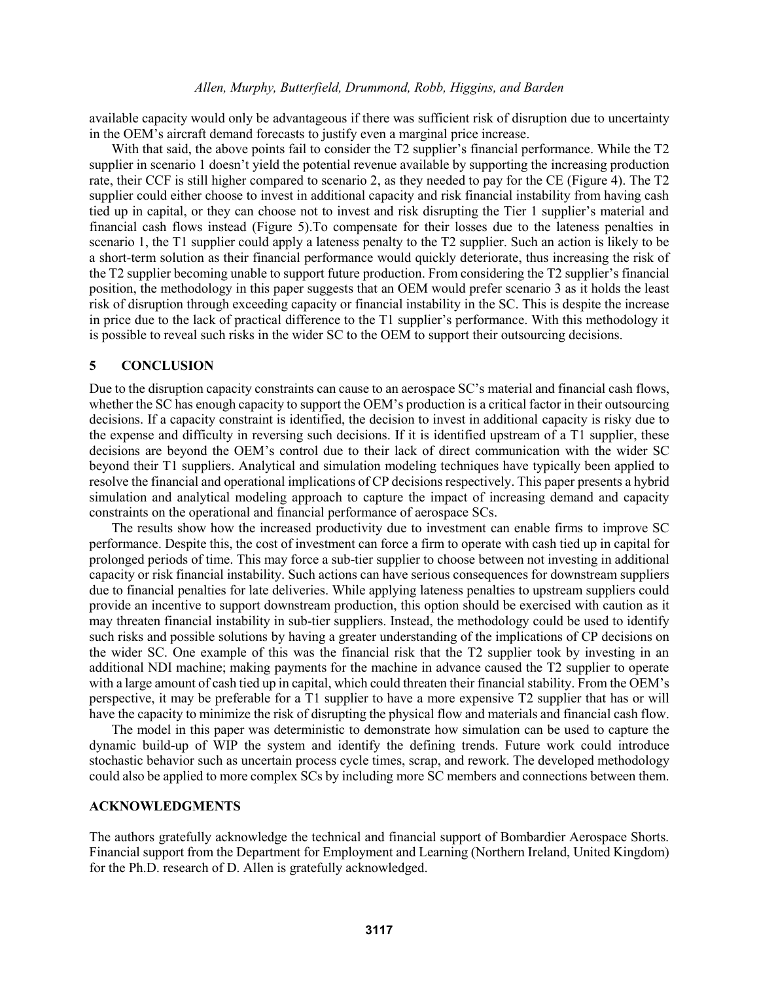available capacity would only be advantageous if there was sufficient risk of disruption due to uncertainty in the OEM's aircraft demand forecasts to justify even a marginal price increase.

With that said, the above points fail to consider the T2 supplier's financial performance. While the T2 supplier in scenario 1 doesn't yield the potential revenue available by supporting the increasing production rate, their CCF is still higher compared to scenario 2, as they needed to pay for the CE (Figure 4). The T2 supplier could either choose to invest in additional capacity and risk financial instability from having cash tied up in capital, or they can choose not to invest and risk disrupting the Tier 1 supplier's material and financial cash flows instead (Figure 5).To compensate for their losses due to the lateness penalties in scenario 1, the T1 supplier could apply a lateness penalty to the T2 supplier. Such an action is likely to be a short-term solution as their financial performance would quickly deteriorate, thus increasing the risk of the T2 supplier becoming unable to support future production. From considering the T2 supplier's financial position, the methodology in this paper suggests that an OEM would prefer scenario 3 as it holds the least risk of disruption through exceeding capacity or financial instability in the SC. This is despite the increase in price due to the lack of practical difference to the T1 supplier's performance. With this methodology it is possible to reveal such risks in the wider SC to the OEM to support their outsourcing decisions.

## **5 CONCLUSION**

Due to the disruption capacity constraints can cause to an aerospace SC's material and financial cash flows, whether the SC has enough capacity to support the OEM's production is a critical factor in their outsourcing decisions. If a capacity constraint is identified, the decision to invest in additional capacity is risky due to the expense and difficulty in reversing such decisions. If it is identified upstream of a T1 supplier, these decisions are beyond the OEM's control due to their lack of direct communication with the wider SC beyond their T1 suppliers. Analytical and simulation modeling techniques have typically been applied to resolve the financial and operational implications of CP decisions respectively. This paper presents a hybrid simulation and analytical modeling approach to capture the impact of increasing demand and capacity constraints on the operational and financial performance of aerospace SCs.

The results show how the increased productivity due to investment can enable firms to improve SC performance. Despite this, the cost of investment can force a firm to operate with cash tied up in capital for prolonged periods of time. This may force a sub-tier supplier to choose between not investing in additional capacity or risk financial instability. Such actions can have serious consequences for downstream suppliers due to financial penalties for late deliveries. While applying lateness penalties to upstream suppliers could provide an incentive to support downstream production, this option should be exercised with caution as it may threaten financial instability in sub-tier suppliers. Instead, the methodology could be used to identify such risks and possible solutions by having a greater understanding of the implications of CP decisions on the wider SC. One example of this was the financial risk that the T2 supplier took by investing in an additional NDI machine; making payments for the machine in advance caused the T2 supplier to operate with a large amount of cash tied up in capital, which could threaten their financial stability. From the OEM's perspective, it may be preferable for a T1 supplier to have a more expensive T2 supplier that has or will have the capacity to minimize the risk of disrupting the physical flow and materials and financial cash flow.

The model in this paper was deterministic to demonstrate how simulation can be used to capture the dynamic build-up of WIP the system and identify the defining trends. Future work could introduce stochastic behavior such as uncertain process cycle times, scrap, and rework. The developed methodology could also be applied to more complex SCs by including more SC members and connections between them.

# **ACKNOWLEDGMENTS**

The authors gratefully acknowledge the technical and financial support of Bombardier Aerospace Shorts. Financial support from the Department for Employment and Learning (Northern Ireland, United Kingdom) for the Ph.D. research of D. Allen is gratefully acknowledged.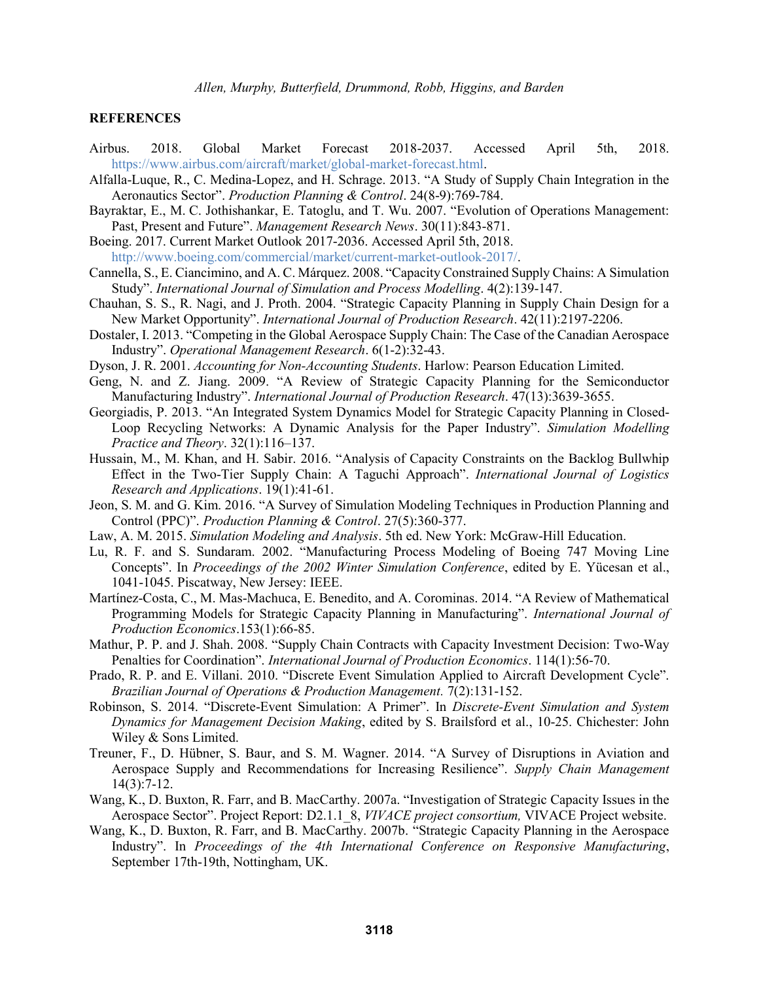#### **REFERENCES**

- Airbus. 2018. Global Market Forecast 2018-2037. Accessed April 5th, 2018. https://www.airbus.com/aircraft/market/global-market-forecast.html.
- Alfalla-Luque, R., C. Medina-Lopez, and H. Schrage. 2013. "A Study of Supply Chain Integration in the Aeronautics Sector". *Production Planning & Control*. 24(8-9):769-784.
- Bayraktar, E., M. C. Jothishankar, E. Tatoglu, and T. Wu. 2007. "Evolution of Operations Management: Past, Present and Future". *Management Research News*. 30(11):843-871.
- Boeing. 2017. Current Market Outlook 2017-2036. Accessed April 5th, 2018. http://www.boeing.com/commercial/market/current-market-outlook-2017/.
- Cannella, S., E. Ciancimino, and A. C. Márquez. 2008. "Capacity Constrained Supply Chains: A Simulation Study". *International Journal of Simulation and Process Modelling*. 4(2):139-147.
- Chauhan, S. S., R. Nagi, and J. Proth. 2004. "Strategic Capacity Planning in Supply Chain Design for a New Market Opportunity". *International Journal of Production Research*. 42(11):2197-2206.
- Dostaler, I. 2013. "Competing in the Global Aerospace Supply Chain: The Case of the Canadian Aerospace Industry". *Operational Management Research*. 6(1-2):32-43.
- Dyson, J. R. 2001. *Accounting for Non-Accounting Students*. Harlow: Pearson Education Limited.
- Geng, N. and Z. Jiang. 2009. "A Review of Strategic Capacity Planning for the Semiconductor Manufacturing Industry". *International Journal of Production Research*. 47(13):3639-3655.
- Georgiadis, P. 2013. "An Integrated System Dynamics Model for Strategic Capacity Planning in Closed-Loop Recycling Networks: A Dynamic Analysis for the Paper Industry". *Simulation Modelling Practice and Theory*. 32(1):116–137.
- Hussain, M., M. Khan, and H. Sabir. 2016. "Analysis of Capacity Constraints on the Backlog Bullwhip Effect in the Two-Tier Supply Chain: A Taguchi Approach". *International Journal of Logistics Research and Applications*. 19(1):41-61.
- Jeon, S. M. and G. Kim. 2016. "A Survey of Simulation Modeling Techniques in Production Planning and Control (PPC)". *Production Planning & Control*. 27(5):360-377.
- Law, A. M. 2015. *Simulation Modeling and Analysis*. 5th ed. New York: McGraw-Hill Education.
- Lu, R. F. and S. Sundaram. 2002. "Manufacturing Process Modeling of Boeing 747 Moving Line Concepts". In *Proceedings of the 2002 Winter Simulation Conference*, edited by E. Yücesan et al., 1041-1045. Piscatway, New Jersey: IEEE.
- Martínez-Costa, C., M. Mas-Machuca, E. Benedito, and A. Corominas. 2014. "A Review of Mathematical Programming Models for Strategic Capacity Planning in Manufacturing". *International Journal of Production Economics*.153(1):66-85.
- Mathur, P. P. and J. Shah. 2008. "Supply Chain Contracts with Capacity Investment Decision: Two-Way Penalties for Coordination". *International Journal of Production Economics*. 114(1):56-70.
- Prado, R. P. and E. Villani. 2010. "Discrete Event Simulation Applied to Aircraft Development Cycle". *Brazilian Journal of Operations & Production Management.* 7(2):131-152.
- Robinson, S. 2014. "Discrete-Event Simulation: A Primer". In *Discrete-Event Simulation and System Dynamics for Management Decision Making*, edited by S. Brailsford et al., 10-25. Chichester: John Wiley & Sons Limited.
- Treuner, F., D. Hübner, S. Baur, and S. M. Wagner. 2014. "A Survey of Disruptions in Aviation and Aerospace Supply and Recommendations for Increasing Resilience". *Supply Chain Management* 14(3):7-12.
- Wang, K., D. Buxton, R. Farr, and B. MacCarthy. 2007a. "Investigation of Strategic Capacity Issues in the Aerospace Sector". Project Report: D2.1.1\_8, *VIVACE project consortium,* VIVACE Project website.
- Wang, K., D. Buxton, R. Farr, and B. MacCarthy. 2007b. "Strategic Capacity Planning in the Aerospace Industry". In *Proceedings of the 4th International Conference on Responsive Manufacturing*, September 17th-19th, Nottingham, UK.